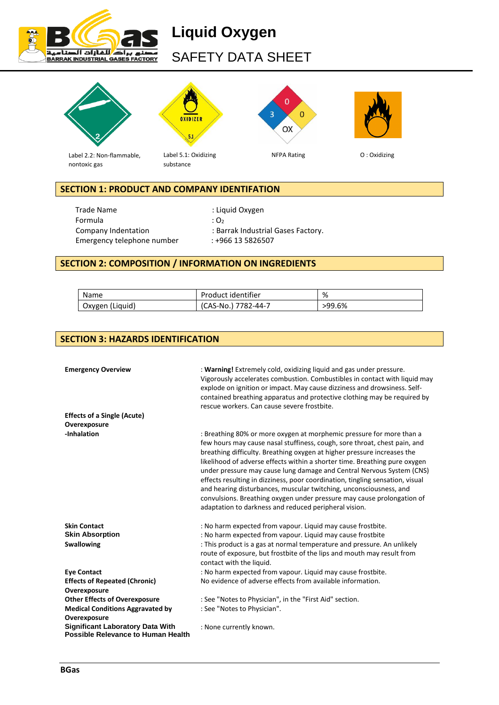

# **Liquid Oxygen** SAFETY DATA SHEET



# **SECTION 1: PRODUCT AND COMPANY IDENTIFATION**

Trade Name **in the Community of Community** Superintenance in the Liquid Oxygen Formula :  $O_2$ Company Indentation : Barrak Industrial Gases Factory. Emergency telephone number : +966 13 5826507

# **SECTION 2: COMPOSITION / INFORMATION ON INGREDIENTS**

| Name            | Product identifier  | %      |
|-----------------|---------------------|--------|
| Oxygen (Liquid) | (CAS-No.) 7782-44-7 | >99.6% |

# **SECTION 3: HAZARDS IDENTIFICATION**

| <b>Emergency Overview</b><br><b>Effects of a Single (Acute)</b>                      | : Warning! Extremely cold, oxidizing liquid and gas under pressure.<br>Vigorously accelerates combustion. Combustibles in contact with liquid may<br>explode on ignition or impact. May cause dizziness and drowsiness. Self-<br>contained breathing apparatus and protective clothing may be required by<br>rescue workers. Can cause severe frostbite.                                                                                                                                                                                                                                                                                                                      |
|--------------------------------------------------------------------------------------|-------------------------------------------------------------------------------------------------------------------------------------------------------------------------------------------------------------------------------------------------------------------------------------------------------------------------------------------------------------------------------------------------------------------------------------------------------------------------------------------------------------------------------------------------------------------------------------------------------------------------------------------------------------------------------|
| Overexposure                                                                         |                                                                                                                                                                                                                                                                                                                                                                                                                                                                                                                                                                                                                                                                               |
| -Inhalation                                                                          | : Breathing 80% or more oxygen at morphemic pressure for more than a<br>few hours may cause nasal stuffiness, cough, sore throat, chest pain, and<br>breathing difficulty. Breathing oxygen at higher pressure increases the<br>likelihood of adverse effects within a shorter time. Breathing pure oxygen<br>under pressure may cause lung damage and Central Nervous System (CNS)<br>effects resulting in dizziness, poor coordination, tingling sensation, visual<br>and hearing disturbances, muscular twitching, unconsciousness, and<br>convulsions. Breathing oxygen under pressure may cause prolongation of<br>adaptation to darkness and reduced peripheral vision. |
| <b>Skin Contact</b>                                                                  | : No harm expected from vapour. Liquid may cause frostbite.                                                                                                                                                                                                                                                                                                                                                                                                                                                                                                                                                                                                                   |
| <b>Skin Absorption</b>                                                               | : No harm expected from vapour. Liquid may cause frostbite                                                                                                                                                                                                                                                                                                                                                                                                                                                                                                                                                                                                                    |
| <b>Swallowing</b>                                                                    | : This product is a gas at normal temperature and pressure. An unlikely<br>route of exposure, but frostbite of the lips and mouth may result from<br>contact with the liquid.                                                                                                                                                                                                                                                                                                                                                                                                                                                                                                 |
| <b>Eye Contact</b>                                                                   | : No harm expected from vapour. Liquid may cause frostbite.                                                                                                                                                                                                                                                                                                                                                                                                                                                                                                                                                                                                                   |
| <b>Effects of Repeated (Chronic)</b>                                                 | No evidence of adverse effects from available information.                                                                                                                                                                                                                                                                                                                                                                                                                                                                                                                                                                                                                    |
| Overexposure                                                                         |                                                                                                                                                                                                                                                                                                                                                                                                                                                                                                                                                                                                                                                                               |
| <b>Other Effects of Overexposure</b>                                                 | : See "Notes to Physician", in the "First Aid" section.                                                                                                                                                                                                                                                                                                                                                                                                                                                                                                                                                                                                                       |
| <b>Medical Conditions Aggravated by</b><br>Overexposure                              | : See "Notes to Physician".                                                                                                                                                                                                                                                                                                                                                                                                                                                                                                                                                                                                                                                   |
| <b>Significant Laboratory Data With</b><br><b>Possible Relevance to Human Health</b> | : None currently known.                                                                                                                                                                                                                                                                                                                                                                                                                                                                                                                                                                                                                                                       |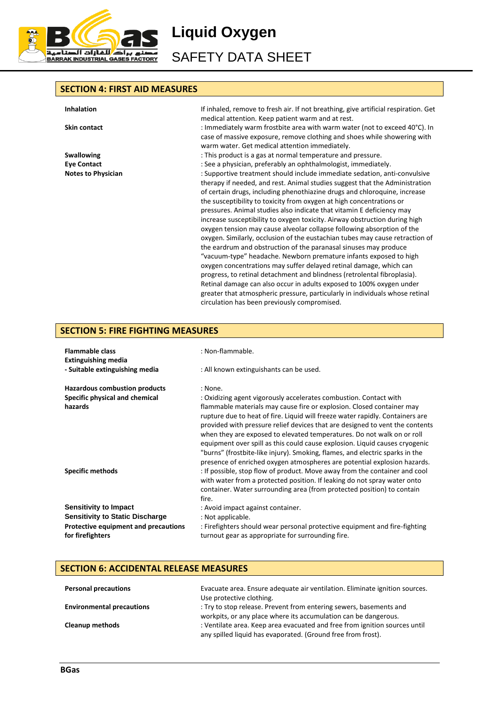

**Liquid Oxygen**

SAFETY DATA SHEET

#### **SECTION 4: FIRST AID MEASURES**

**Inhalation** If inhaled, remove to fresh air. If not breathing, give artificial respiration. Get medical attention. Keep patient warm and at rest. **Skin contact included** : Immediately warm frostbite area with warm water (not to exceed 40°C). In case of massive exposure, remove clothing and shoes while showering with warm water. Get medical attention immediately. **Swallowing Swallowing interpretational is a gase at normal temperature and pressure. Eye Contact Exercise 2**: See a physician, preferably an ophthalmologist, immediately. **Notes to Physician include immediate sedation**, anti-convulsive include immediate sedation, anti-convulsive therapy if needed, and rest. Animal studies suggest that the Administration of certain drugs, including phenothiazine drugs and chloroquine, increase the susceptibility to toxicity from oxygen at high concentrations or pressures. Animal studies also indicate that vitamin E deficiency may increase susceptibility to oxygen toxicity. Airway obstruction during high oxygen tension may cause alveolar collapse following absorption of the oxygen. Similarly, occlusion of the eustachian tubes may cause retraction of the eardrum and obstruction of the paranasal sinuses may produce "vacuum-type" headache. Newborn premature infants exposed to high oxygen concentrations may suffer delayed retinal damage, which can progress, to retinal detachment and blindness (retrolental fibroplasia). Retinal damage can also occur in adults exposed to 100% oxygen under greater that atmospheric pressure, particularly in individuals whose retinal circulation has been previously compromised.

# **SECTION 5: FIRE FIGHTING MEASURES**

| <b>Flammable class</b><br><b>Extinguishing media</b> | : Non-flammable.                                                                                                                                                                                                                                                                                                                                                                                                                                                                                                                                            |
|------------------------------------------------------|-------------------------------------------------------------------------------------------------------------------------------------------------------------------------------------------------------------------------------------------------------------------------------------------------------------------------------------------------------------------------------------------------------------------------------------------------------------------------------------------------------------------------------------------------------------|
| - Suitable extinguishing media                       | : All known extinguishants can be used.                                                                                                                                                                                                                                                                                                                                                                                                                                                                                                                     |
| <b>Hazardous combustion products</b>                 | : None.                                                                                                                                                                                                                                                                                                                                                                                                                                                                                                                                                     |
| Specific physical and chemical                       | : Oxidizing agent vigorously accelerates combustion. Contact with                                                                                                                                                                                                                                                                                                                                                                                                                                                                                           |
| hazards                                              | flammable materials may cause fire or explosion. Closed container may<br>rupture due to heat of fire. Liquid will freeze water rapidly. Containers are<br>provided with pressure relief devices that are designed to vent the contents<br>when they are exposed to elevated temperatures. Do not walk on or roll<br>equipment over spill as this could cause explosion. Liquid causes cryogenic<br>"burns" (frostbite-like injury). Smoking, flames, and electric sparks in the<br>presence of enriched oxygen atmospheres are potential explosion hazards. |
| <b>Specific methods</b>                              | : If possible, stop flow of product. Move away from the container and cool<br>with water from a protected position. If leaking do not spray water onto<br>container. Water surrounding area (from protected position) to contain<br>fire.                                                                                                                                                                                                                                                                                                                   |
| <b>Sensitivity to Impact</b>                         | : Avoid impact against container.                                                                                                                                                                                                                                                                                                                                                                                                                                                                                                                           |
| <b>Sensitivity to Static Discharge</b>               | : Not applicable.                                                                                                                                                                                                                                                                                                                                                                                                                                                                                                                                           |
| Protective equipment and precautions                 | : Firefighters should wear personal protective equipment and fire-fighting                                                                                                                                                                                                                                                                                                                                                                                                                                                                                  |
| for firefighters                                     | turnout gear as appropriate for surrounding fire.                                                                                                                                                                                                                                                                                                                                                                                                                                                                                                           |

#### **SECTION 6: ACCIDENTAL RELEASE MEASURES**

| <b>Personal precautions</b>      | Evacuate area. Ensure adequate air ventilation. Eliminate ignition sources.<br>Use protective clothing.                                    |
|----------------------------------|--------------------------------------------------------------------------------------------------------------------------------------------|
| <b>Environmental precautions</b> | : Try to stop release. Prevent from entering sewers, basements and<br>workpits, or any place where its accumulation can be dangerous.      |
| <b>Cleanup methods</b>           | : Ventilate area. Keep area evacuated and free from ignition sources until<br>any spilled liquid has evaporated. (Ground free from frost). |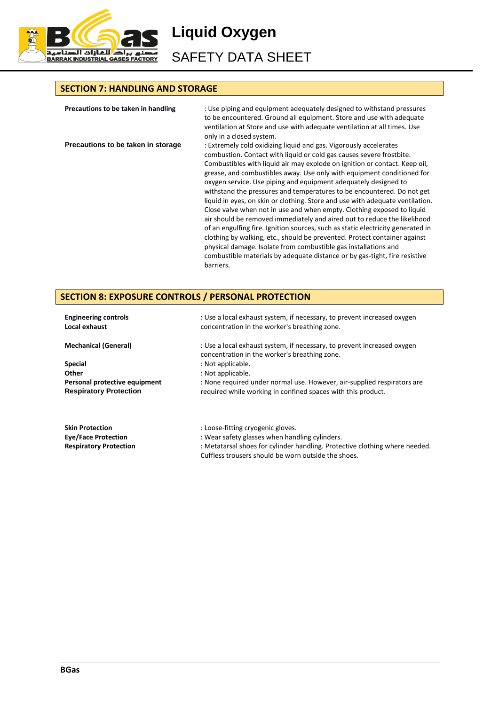

**Liquid Oxygen**

SAFETY DATA SHEET

# **SECTION 7: HANDLING AND STORAGE**

| Precautions to be taken in handling | : Use piping and equipment adequately designed to withstand pressures<br>to be encountered. Ground all equipment. Store and use with adequate<br>ventilation at Store and use with adequate ventilation at all times. Use<br>only in a closed system.                                                                                                                                                                                                                                                                                                                                                                                                                                                                                                                                                                                                                                                                                                                                                               |
|-------------------------------------|---------------------------------------------------------------------------------------------------------------------------------------------------------------------------------------------------------------------------------------------------------------------------------------------------------------------------------------------------------------------------------------------------------------------------------------------------------------------------------------------------------------------------------------------------------------------------------------------------------------------------------------------------------------------------------------------------------------------------------------------------------------------------------------------------------------------------------------------------------------------------------------------------------------------------------------------------------------------------------------------------------------------|
| Precautions to be taken in storage  | : Extremely cold oxidizing liquid and gas. Vigorously accelerates<br>combustion. Contact with liquid or cold gas causes severe frostbite.<br>Combustibles with liquid air may explode on ignition or contact. Keep oil,<br>grease, and combustibles away. Use only with equipment conditioned for<br>oxygen service. Use piping and equipment adequately designed to<br>withstand the pressures and temperatures to be encountered. Do not get<br>liquid in eyes, on skin or clothing. Store and use with adequate ventilation.<br>Close valve when not in use and when empty. Clothing exposed to liquid<br>air should be removed immediately and aired out to reduce the likelihood<br>of an engulfing fire. Ignition sources, such as static electricity generated in<br>clothing by walking, etc., should be prevented. Protect container against<br>physical damage. Isolate from combustible gas installations and<br>combustible materials by adequate distance or by gas-tight, fire resistive<br>barriers. |

# **SECTION 8: EXPOSURE CONTROLS / PERSONAL PROTECTION**

| <b>Engineering controls</b><br>Local exhaust                   | : Use a local exhaust system, if necessary, to prevent increased oxygen<br>concentration in the worker's breathing zone.                |
|----------------------------------------------------------------|-----------------------------------------------------------------------------------------------------------------------------------------|
| <b>Mechanical (General)</b>                                    | : Use a local exhaust system, if necessary, to prevent increased oxygen<br>concentration in the worker's breathing zone.                |
| <b>Special</b>                                                 | : Not applicable.                                                                                                                       |
| Other                                                          | : Not applicable.                                                                                                                       |
| Personal protective equipment<br><b>Respiratory Protection</b> | : None required under normal use. However, air-supplied respirators are<br>required while working in confined spaces with this product. |
| <b>Skin Protection</b>                                         | : Loose-fitting cryogenic gloves.                                                                                                       |

**Eye/Face Protection** : Wear safety glasses when handling cylinders. Respiratory Protection : Metatarsal shoes for cylinder handling. Protective clothing where needed. Cuffless trousers should be worn outside the shoes.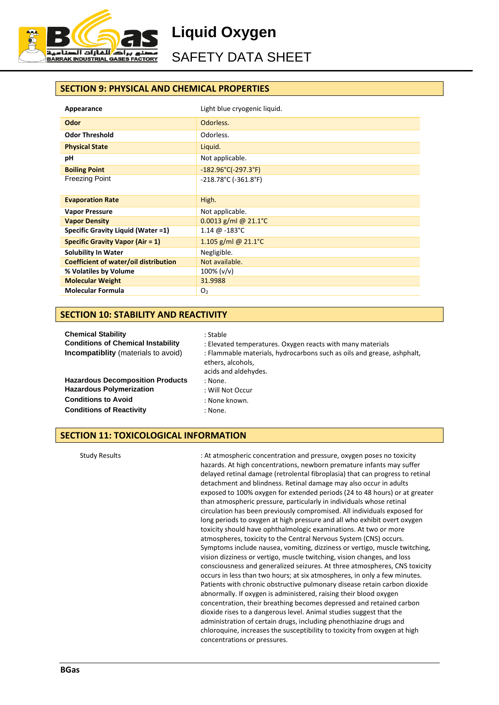

**Liquid Oxygen**

# SAFETY DATA SHEET

# **SECTION 9: PHYSICAL AND CHEMICAL PROPERTIES**

| Appearance                              | Light blue cryogenic liquid.                                    |  |
|-----------------------------------------|-----------------------------------------------------------------|--|
| <b>Odor</b>                             | Odorless.                                                       |  |
| <b>Odor Threshold</b>                   | Odorless.                                                       |  |
| <b>Physical State</b>                   | Liquid.                                                         |  |
| рH                                      | Not applicable.                                                 |  |
| <b>Boiling Point</b>                    | $-182.96^{\circ}$ C(-297.3°F)                                   |  |
| <b>Freezing Point</b>                   | $-218.78^{\circ}$ C ( $-361.8^{\circ}$ F)                       |  |
| <b>Evaporation Rate</b>                 | High.                                                           |  |
| <b>Vapor Pressure</b>                   | Not applicable.                                                 |  |
| <b>Vapor Density</b>                    | $0.0013$ g/ml @ 21.1°C                                          |  |
| Specific Gravity Liquid (Water =1)      | $1.14 \; \text{\textcircled{a}} -183 \; \text{\textcircled{c}}$ |  |
| <b>Specific Gravity Vapor (Air = 1)</b> | 1.105 g/ml @ $21.1^{\circ}$ C                                   |  |
| <b>Solubility In Water</b>              | Negligible.                                                     |  |
| Coefficient of water/oil distribution   | Not available.                                                  |  |
| % Volatiles by Volume                   | $100\%$ ( $v/v$ )                                               |  |
| <b>Molecular Weight</b>                 | 31.9988                                                         |  |
| <b>Molecular Formula</b>                | O <sub>2</sub>                                                  |  |

#### **SECTION 10: STABILITY AND REACTIVITY**

| <b>Chemical Stability</b>                 | : Stable                                                                                    |
|-------------------------------------------|---------------------------------------------------------------------------------------------|
| <b>Conditions of Chemical Instability</b> | : Elevated temperatures. Oxygen reacts with many materials                                  |
| Incompatiblity (materials to avoid)       | : Flammable materials, hydrocarbons such as oils and grease, ashphalt,<br>ethers, alcohols, |
|                                           |                                                                                             |
|                                           | acids and aldehydes.                                                                        |
| <b>Hazardous Decomposition Products</b>   | : None.                                                                                     |
| <b>Hazardous Polymerization</b>           | : Will Not Occur                                                                            |
| <b>Conditions to Avoid</b>                | : None known.                                                                               |
| <b>Conditions of Reactivity</b>           | : None.                                                                                     |

# **SECTION 11: TOXICOLOGICAL INFORMATION**

Study Results : At atmospheric concentration and pressure, oxygen poses no toxicity hazards. At high concentrations, newborn premature infants may suffer delayed retinal damage (retrolental fibroplasia) that can progress to retinal detachment and blindness. Retinal damage may also occur in adults exposed to 100% oxygen for extended periods (24 to 48 hours) or at greater than atmospheric pressure, particularly in individuals whose retinal circulation has been previously compromised. All individuals exposed for long periods to oxygen at high pressure and all who exhibit overt oxygen toxicity should have ophthalmologic examinations. At two or more atmospheres, toxicity to the Central Nervous System (CNS) occurs. Symptoms include nausea, vomiting, dizziness or vertigo, muscle twitching, vision dizziness or vertigo, muscle twitching, vision changes, and loss consciousness and generalized seizures. At three atmospheres, CNS toxicity occurs in less than two hours; at six atmospheres, in only a few minutes. Patients with chronic obstructive pulmonary disease retain carbon dioxide abnormally. If oxygen is administered, raising their blood oxygen concentration, their breathing becomes depressed and retained carbon dioxide rises to a dangerous level. Animal studies suggest that the administration of certain drugs, including phenothiazine drugs and chloroquine, increases the susceptibility to toxicity from oxygen at high concentrations or pressures.